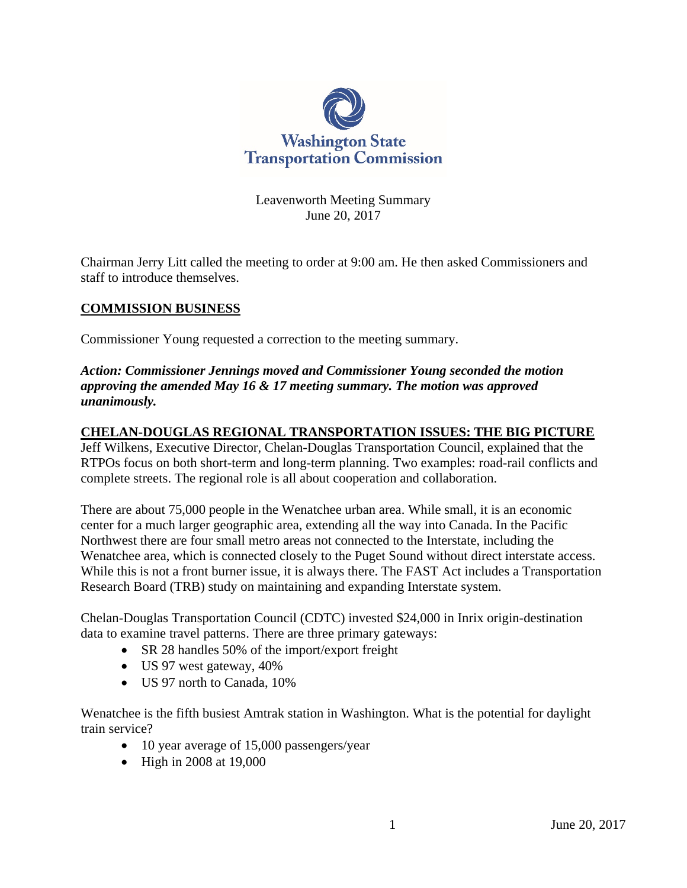

Leavenworth Meeting Summary June 20, 2017

Chairman Jerry Litt called the meeting to order at 9:00 am. He then asked Commissioners and staff to introduce themselves.

# **COMMISSION BUSINESS**

Commissioner Young requested a correction to the meeting summary.

*Action: Commissioner Jennings moved and Commissioner Young seconded the motion approving the amended May 16 & 17 meeting summary. The motion was approved unanimously.*

#### **CHELAN-DOUGLAS REGIONAL TRANSPORTATION ISSUES: THE BIG PICTURE**

Jeff Wilkens, Executive Director, Chelan-Douglas Transportation Council, explained that the RTPOs focus on both short-term and long-term planning. Two examples: road-rail conflicts and complete streets. The regional role is all about cooperation and collaboration.

There are about 75,000 people in the Wenatchee urban area. While small, it is an economic center for a much larger geographic area, extending all the way into Canada. In the Pacific Northwest there are four small metro areas not connected to the Interstate, including the Wenatchee area, which is connected closely to the Puget Sound without direct interstate access. While this is not a front burner issue, it is always there. The FAST Act includes a Transportation Research Board (TRB) study on maintaining and expanding Interstate system.

Chelan-Douglas Transportation Council (CDTC) invested \$24,000 in Inrix origin-destination data to examine travel patterns. There are three primary gateways:

- SR 28 handles 50% of the import/export freight
- US 97 west gateway, 40%
- US 97 north to Canada, 10%

Wenatchee is the fifth busiest Amtrak station in Washington. What is the potential for daylight train service?

- 10 year average of 15,000 passengers/year
- High in 2008 at 19,000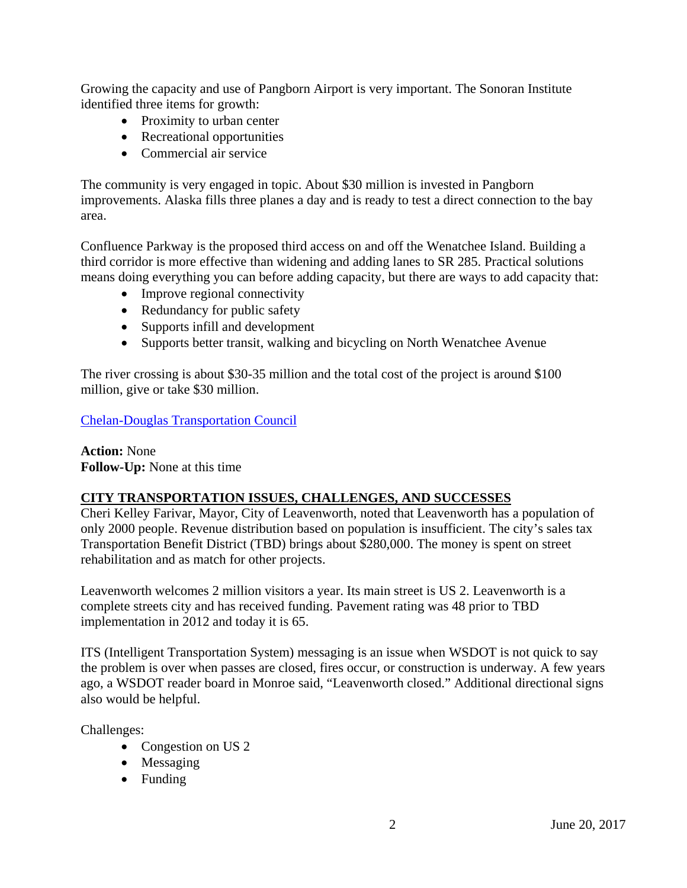Growing the capacity and use of Pangborn Airport is very important. The Sonoran Institute identified three items for growth:

- Proximity to urban center
- Recreational opportunities
- Commercial air service

The community is very engaged in topic. About \$30 million is invested in Pangborn improvements. Alaska fills three planes a day and is ready to test a direct connection to the bay area.

Confluence Parkway is the proposed third access on and off the Wenatchee Island. Building a third corridor is more effective than widening and adding lanes to SR 285. Practical solutions means doing everything you can before adding capacity, but there are ways to add capacity that:

- Improve regional connectivity
- Redundancy for public safety
- Supports infill and development
- Supports better transit, walking and bicycling on North Wenatchee Avenue

The river crossing is about \$30-35 million and the total cost of the project is around \$100 million, give or take \$30 million.

[Chelan-Douglas Transportation Council](http://www.wstc.wa.gov/Meetings/AgendasMinutes/agendas/2017/June20/documents/2017_0620_BP4_ChelanDouglas.pdf)

**Action:** None **Follow-Up:** None at this time

# **CITY TRANSPORTATION ISSUES, CHALLENGES, AND SUCCESSES**

Cheri Kelley Farivar, Mayor, City of Leavenworth, noted that Leavenworth has a population of only 2000 people. Revenue distribution based on population is insufficient. The city's sales tax Transportation Benefit District (TBD) brings about \$280,000. The money is spent on street rehabilitation and as match for other projects.

Leavenworth welcomes 2 million visitors a year. Its main street is US 2. Leavenworth is a complete streets city and has received funding. Pavement rating was 48 prior to TBD implementation in 2012 and today it is 65.

ITS (Intelligent Transportation System) messaging is an issue when WSDOT is not quick to say the problem is over when passes are closed, fires occur, or construction is underway. A few years ago, a WSDOT reader board in Monroe said, "Leavenworth closed." Additional directional signs also would be helpful.

Challenges:

- Congestion on US 2
- Messaging
- Funding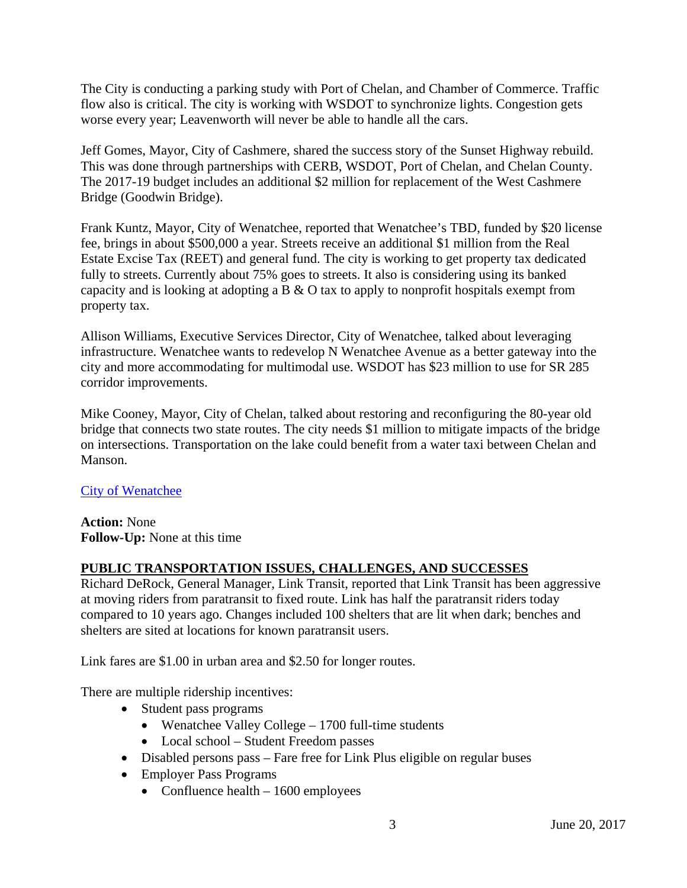The City is conducting a parking study with Port of Chelan, and Chamber of Commerce. Traffic flow also is critical. The city is working with WSDOT to synchronize lights. Congestion gets worse every year; Leavenworth will never be able to handle all the cars.

Jeff Gomes, Mayor, City of Cashmere, shared the success story of the Sunset Highway rebuild. This was done through partnerships with CERB, WSDOT, Port of Chelan, and Chelan County. The 2017-19 budget includes an additional \$2 million for replacement of the West Cashmere Bridge (Goodwin Bridge).

Frank Kuntz, Mayor, City of Wenatchee, reported that Wenatchee's TBD, funded by \$20 license fee, brings in about \$500,000 a year. Streets receive an additional \$1 million from the Real Estate Excise Tax (REET) and general fund. The city is working to get property tax dedicated fully to streets. Currently about 75% goes to streets. It also is considering using its banked capacity and is looking at adopting a B & O tax to apply to nonprofit hospitals exempt from property tax.

Allison Williams, Executive Services Director, City of Wenatchee, talked about leveraging infrastructure. Wenatchee wants to redevelop N Wenatchee Avenue as a better gateway into the city and more accommodating for multimodal use. WSDOT has \$23 million to use for SR 285 corridor improvements.

Mike Cooney, Mayor, City of Chelan, talked about restoring and reconfiguring the 80-year old bridge that connects two state routes. The city needs \$1 million to mitigate impacts of the bridge on intersections. Transportation on the lake could benefit from a water taxi between Chelan and Manson.

# [City of Wenatchee](http://www.wstc.wa.gov/Meetings/AgendasMinutes/agendas/2017/June20/documents/2017_0620_BP5_CityofWenatchee.pdf)

**Action:** None **Follow-Up:** None at this time

# **PUBLIC TRANSPORTATION ISSUES, CHALLENGES, AND SUCCESSES**

Richard DeRock, General Manager, Link Transit, reported that Link Transit has been aggressive at moving riders from paratransit to fixed route. Link has half the paratransit riders today compared to 10 years ago. Changes included 100 shelters that are lit when dark; benches and shelters are sited at locations for known paratransit users.

Link fares are \$1.00 in urban area and \$2.50 for longer routes.

There are multiple ridership incentives:

- Student pass programs
	- Wenatchee Valley College 1700 full-time students
	- Local school Student Freedom passes
- Disabled persons pass Fare free for Link Plus eligible on regular buses
- Employer Pass Programs
	- Confluence health  $-1600$  employees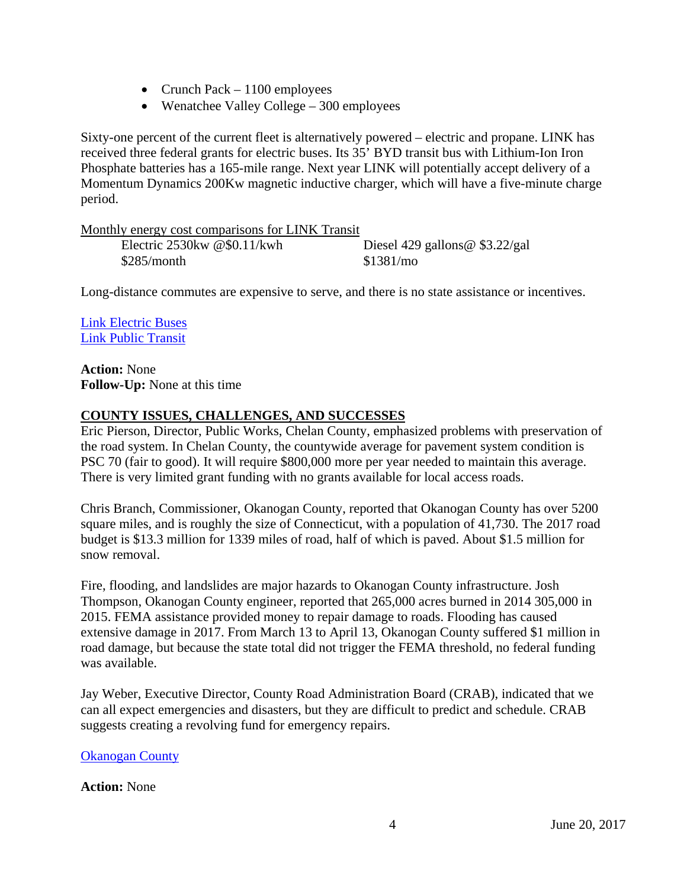- Crunch Pack  $-1100$  employees
- Wenatchee Valley College 300 employees

Sixty-one percent of the current fleet is alternatively powered – electric and propane. LINK has received three federal grants for electric buses. Its 35' BYD transit bus with Lithium-Ion Iron Phosphate batteries has a 165-mile range. Next year LINK will potentially accept delivery of a Momentum Dynamics 200Kw magnetic inductive charger, which will have a five-minute charge period.

| Monthly energy cost comparisons for LINK Transit |                                  |
|--------------------------------------------------|----------------------------------|
| Electric $2530$ kw @\$0.11/kwh                   | Diesel 429 gallons @ $$3.22/gal$ |
| \$285/month                                      | \$1381/mo                        |

Long-distance commutes are expensive to serve, and there is no state assistance or incentives.

[Link Electric Buses](http://www.wstc.wa.gov/Meetings/AgendasMinutes/agendas/2017/June20/documents/2017_0620_BP6_LinkTransit.pdf) [Link Public Transit](http://www.wstc.wa.gov/Meetings/AgendasMinutes/agendas/2017/June20/documents/2017_0620_BP6_LinkTransit.pdf)

**Action:** None **Follow-Up:** None at this time

# **COUNTY ISSUES, CHALLENGES, AND SUCCESSES**

Eric Pierson, Director, Public Works, Chelan County, emphasized problems with preservation of the road system. In Chelan County, the countywide average for pavement system condition is PSC 70 (fair to good). It will require \$800,000 more per year needed to maintain this average. There is very limited grant funding with no grants available for local access roads.

Chris Branch, Commissioner, Okanogan County, reported that Okanogan County has over 5200 square miles, and is roughly the size of Connecticut, with a population of 41,730. The 2017 road budget is \$13.3 million for 1339 miles of road, half of which is paved. About \$1.5 million for snow removal.

Fire, flooding, and landslides are major hazards to Okanogan County infrastructure. Josh Thompson, Okanogan County engineer, reported that 265,000 acres burned in 2014 305,000 in 2015. FEMA assistance provided money to repair damage to roads. Flooding has caused extensive damage in 2017. From March 13 to April 13, Okanogan County suffered \$1 million in road damage, but because the state total did not trigger the FEMA threshold, no federal funding was available.

Jay Weber, Executive Director, County Road Administration Board (CRAB), indicated that we can all expect emergencies and disasters, but they are difficult to predict and schedule. CRAB suggests creating a revolving fund for emergency repairs.

[Okanogan County](http://www.wstc.wa.gov/Meetings/AgendasMinutes/agendas/2017/June20/documents/2017_0620_BP7_OkanoganCounty.pdf)

# **Action:** None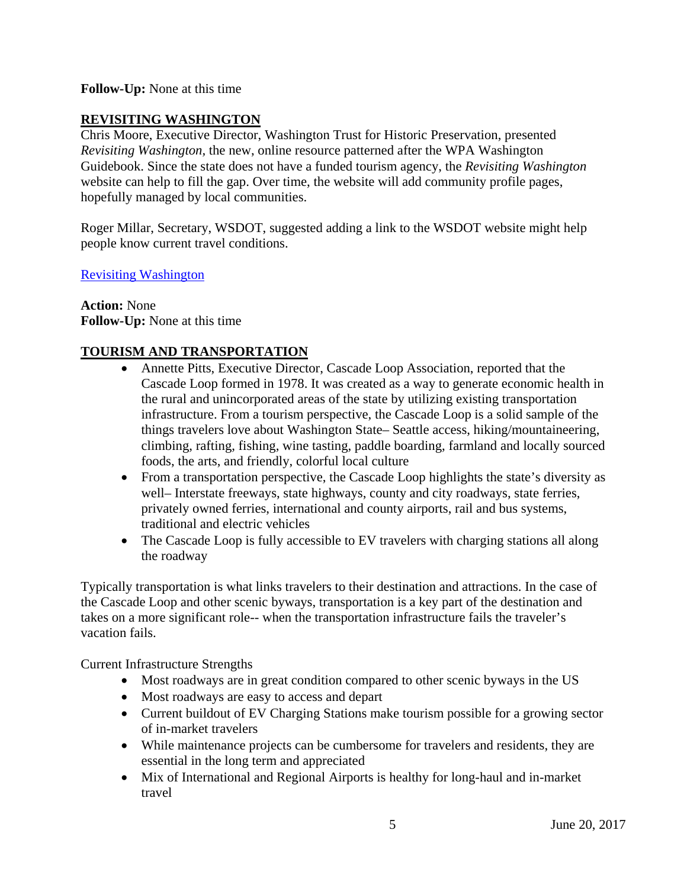### **Follow-Up:** None at this time

# **REVISITING WASHINGTON**

Chris Moore, Executive Director, Washington Trust for Historic Preservation, presented *Revisiting Washington,* the new, online resource patterned after the WPA Washington Guidebook. Since the state does not have a funded tourism agency, the *Revisiting Washington* website can help to fill the gap. Over time, the website will add community profile pages, hopefully managed by local communities.

Roger Millar, Secretary, WSDOT, suggested adding a link to the WSDOT website might help people know current travel conditions.

[Revisiting Washington](https://revisitwa.org/)

**Action:** None **Follow-Up:** None at this time

#### **TOURISM AND TRANSPORTATION**

- Annette Pitts, Executive Director, Cascade Loop Association, reported that the Cascade Loop formed in 1978. It was created as a way to generate economic health in the rural and unincorporated areas of the state by utilizing existing transportation infrastructure. From a tourism perspective, the Cascade Loop is a solid sample of the things travelers love about Washington State– Seattle access, hiking/mountaineering, climbing, rafting, fishing, wine tasting, paddle boarding, farmland and locally sourced foods, the arts, and friendly, colorful local culture
- From a transportation perspective, the Cascade Loop highlights the state's diversity as well– Interstate freeways, state highways, county and city roadways, state ferries, privately owned ferries, international and county airports, rail and bus systems, traditional and electric vehicles
- The Cascade Loop is fully accessible to EV travelers with charging stations all along the roadway

Typically transportation is what links travelers to their destination and attractions. In the case of the Cascade Loop and other scenic byways, transportation is a key part of the destination and takes on a more significant role-- when the transportation infrastructure fails the traveler's vacation fails.

Current Infrastructure Strengths

- Most roadways are in great condition compared to other scenic byways in the US
- Most roadways are easy to access and depart
- Current buildout of EV Charging Stations make tourism possible for a growing sector of in-market travelers
- While maintenance projects can be cumbersome for travelers and residents, they are essential in the long term and appreciated
- Mix of International and Regional Airports is healthy for long-haul and in-market travel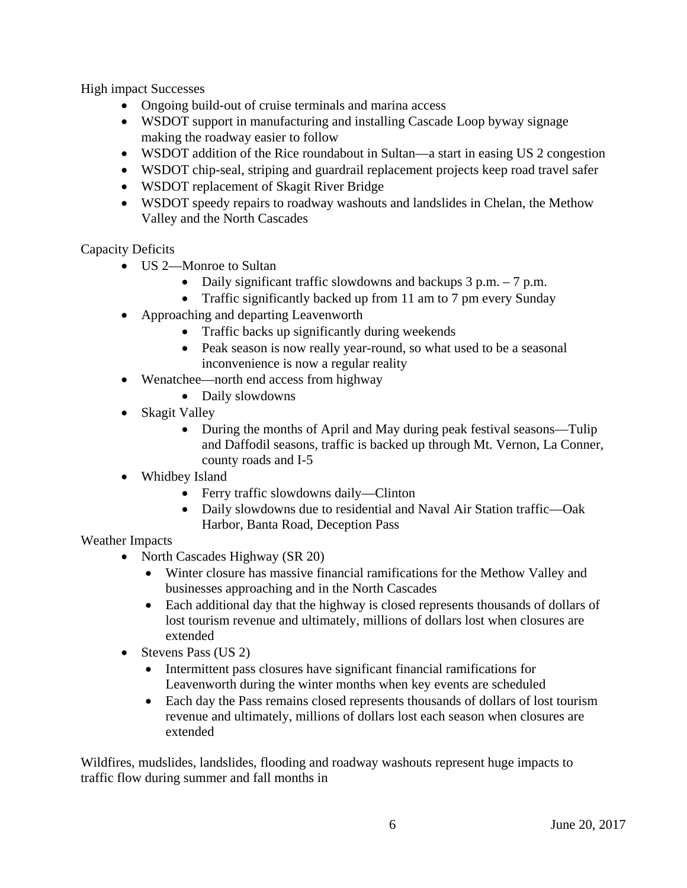High impact Successes

- Ongoing build-out of cruise terminals and marina access
- WSDOT support in manufacturing and installing Cascade Loop byway signage making the roadway easier to follow
- WSDOT addition of the Rice roundabout in Sultan—a start in easing US 2 congestion
- WSDOT chip-seal, striping and guardrail replacement projects keep road travel safer
- WSDOT replacement of Skagit River Bridge
- WSDOT speedy repairs to roadway washouts and landslides in Chelan, the Methow Valley and the North Cascades

Capacity Deficits

- US 2—Monroe to Sultan
	- Daily significant traffic slowdowns and backups 3 p.m. 7 p.m.
	- Traffic significantly backed up from 11 am to 7 pm every Sunday
- Approaching and departing Leavenworth
	- Traffic backs up significantly during weekends
	- Peak season is now really year-round, so what used to be a seasonal inconvenience is now a regular reality
- Wenatchee—north end access from highway
	- Daily slowdowns
- Skagit Valley
	- During the months of April and May during peak festival seasons—Tulip and Daffodil seasons, traffic is backed up through Mt. Vernon, La Conner, county roads and I-5
- Whidbey Island
	- Ferry traffic slowdowns daily—Clinton
	- Daily slowdowns due to residential and Naval Air Station traffic—Oak Harbor, Banta Road, Deception Pass

# Weather Impacts

- North Cascades Highway (SR 20)
	- Winter closure has massive financial ramifications for the Methow Valley and businesses approaching and in the North Cascades
	- Each additional day that the highway is closed represents thousands of dollars of lost tourism revenue and ultimately, millions of dollars lost when closures are extended
- Stevens Pass (US 2)
	- Intermittent pass closures have significant financial ramifications for Leavenworth during the winter months when key events are scheduled
	- Each day the Pass remains closed represents thousands of dollars of lost tourism revenue and ultimately, millions of dollars lost each season when closures are extended

Wildfires, mudslides, landslides, flooding and roadway washouts represent huge impacts to traffic flow during summer and fall months in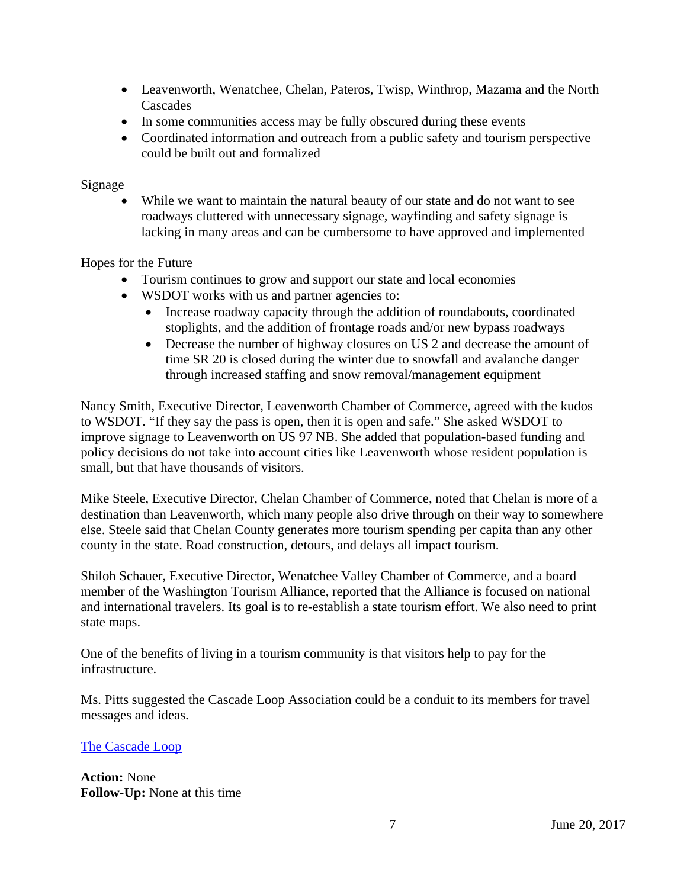- Leavenworth, Wenatchee, Chelan, Pateros, Twisp, Winthrop, Mazama and the North Cascades
- In some communities access may be fully obscured during these events
- Coordinated information and outreach from a public safety and tourism perspective could be built out and formalized

### Signage

While we want to maintain the natural beauty of our state and do not want to see roadways cluttered with unnecessary signage, wayfinding and safety signage is lacking in many areas and can be cumbersome to have approved and implemented

Hopes for the Future

- Tourism continues to grow and support our state and local economies
- WSDOT works with us and partner agencies to:
	- Increase roadway capacity through the addition of roundabouts, coordinated stoplights, and the addition of frontage roads and/or new bypass roadways
	- Decrease the number of highway closures on US 2 and decrease the amount of time SR 20 is closed during the winter due to snowfall and avalanche danger through increased staffing and snow removal/management equipment

Nancy Smith, Executive Director, Leavenworth Chamber of Commerce, agreed with the kudos to WSDOT. "If they say the pass is open, then it is open and safe." She asked WSDOT to improve signage to Leavenworth on US 97 NB. She added that population-based funding and policy decisions do not take into account cities like Leavenworth whose resident population is small, but that have thousands of visitors.

Mike Steele, Executive Director, Chelan Chamber of Commerce, noted that Chelan is more of a destination than Leavenworth, which many people also drive through on their way to somewhere else. Steele said that Chelan County generates more tourism spending per capita than any other county in the state. Road construction, detours, and delays all impact tourism.

Shiloh Schauer, Executive Director, Wenatchee Valley Chamber of Commerce, and a board member of the Washington Tourism Alliance, reported that the Alliance is focused on national and international travelers. Its goal is to re-establish a state tourism effort. We also need to print state maps.

One of the benefits of living in a tourism community is that visitors help to pay for the infrastructure.

Ms. Pitts suggested the Cascade Loop Association could be a conduit to its members for travel messages and ideas.

#### [The Cascade Loop](http://www.wstc.wa.gov/Meetings/AgendasMinutes/agendas/2017/June20/documents/2017_0620_BP9_CascadeLoop.pdf)

**Action:** None **Follow-Up:** None at this time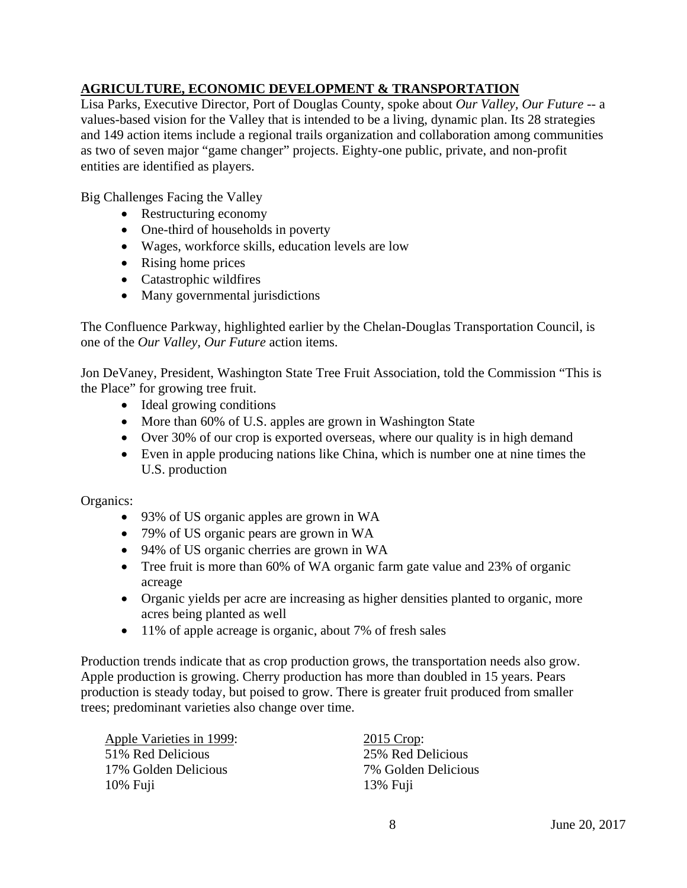# **AGRICULTURE, ECONOMIC DEVELOPMENT & TRANSPORTATION**

Lisa Parks, Executive Director, Port of Douglas County, spoke about *Our Valley, Our Future --* a values-based vision for the Valley that is intended to be a living, dynamic plan. Its 28 strategies and 149 action items include a regional trails organization and collaboration among communities as two of seven major "game changer" projects. Eighty-one public, private, and non-profit entities are identified as players.

Big Challenges Facing the Valley

- Restructuring economy
- One-third of households in poverty
- Wages, workforce skills, education levels are low
- Rising home prices
- Catastrophic wildfires
- Many governmental jurisdictions

The Confluence Parkway, highlighted earlier by the Chelan-Douglas Transportation Council, is one of the *Our Valley, Our Future* action items.

Jon DeVaney, President, Washington State Tree Fruit Association, told the Commission "This is the Place" for growing tree fruit.

- Ideal growing conditions
- More than 60% of U.S. apples are grown in Washington State
- Over 30% of our crop is exported overseas, where our quality is in high demand
- Even in apple producing nations like China, which is number one at nine times the U.S. production

Organics:

- 93% of US organic apples are grown in WA
- 79% of US organic pears are grown in WA
- 94% of US organic cherries are grown in WA
- Tree fruit is more than 60% of WA organic farm gate value and 23% of organic acreage
- Organic yields per acre are increasing as higher densities planted to organic, more acres being planted as well
- 11% of apple acreage is organic, about 7% of fresh sales

Production trends indicate that as crop production grows, the transportation needs also grow. Apple production is growing. Cherry production has more than doubled in 15 years. Pears production is steady today, but poised to grow. There is greater fruit produced from smaller trees; predominant varieties also change over time.

Apple Varieties in 1999: 2015 Crop: 51% Red Delicious 25% Red Delicious 17% Golden Delicious 7% Golden Delicious 10% Fuji 13% Fuji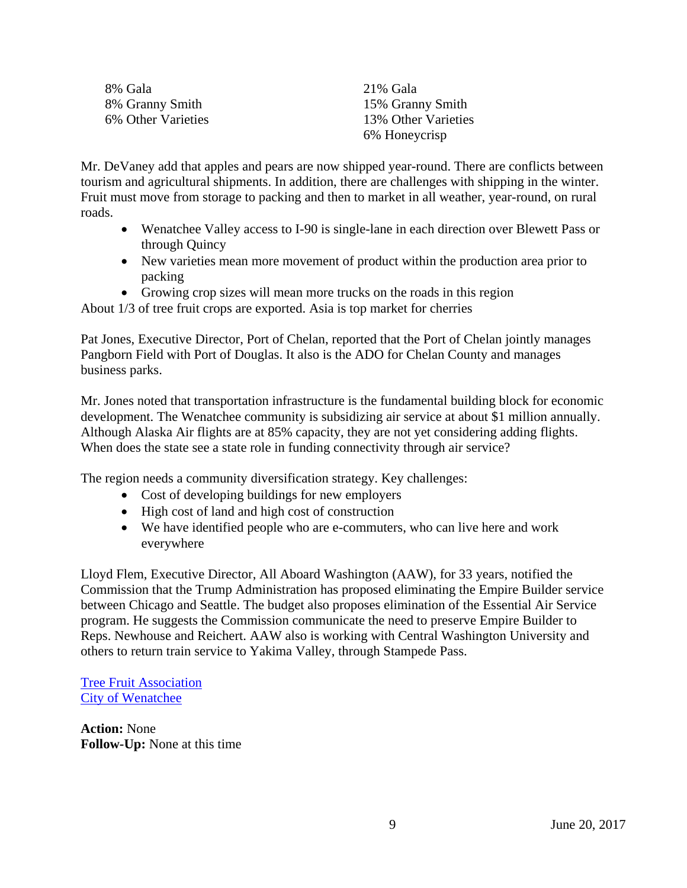| 8% Gala            | 21% Gala            |
|--------------------|---------------------|
| 8% Granny Smith    | 15% Granny Smith    |
| 6% Other Varieties | 13% Other Varieties |
|                    | 6% Honeycrisp       |

Mr. DeVaney add that apples and pears are now shipped year-round. There are conflicts between tourism and agricultural shipments. In addition, there are challenges with shipping in the winter. Fruit must move from storage to packing and then to market in all weather, year-round, on rural roads.

- Wenatchee Valley access to I-90 is single-lane in each direction over Blewett Pass or through Quincy
- New varieties mean more movement of product within the production area prior to packing
- Growing crop sizes will mean more trucks on the roads in this region

About 1/3 of tree fruit crops are exported. Asia is top market for cherries

Pat Jones, Executive Director, Port of Chelan, reported that the Port of Chelan jointly manages Pangborn Field with Port of Douglas. It also is the ADO for Chelan County and manages business parks.

Mr. Jones noted that transportation infrastructure is the fundamental building block for economic development. The Wenatchee community is subsidizing air service at about \$1 million annually. Although Alaska Air flights are at 85% capacity, they are not yet considering adding flights. When does the state see a state role in funding connectivity through air service?

The region needs a community diversification strategy. Key challenges:

- Cost of developing buildings for new employers
- High cost of land and high cost of construction
- We have identified people who are e-commuters, who can live here and work everywhere

Lloyd Flem, Executive Director, All Aboard Washington (AAW), for 33 years, notified the Commission that the Trump Administration has proposed eliminating the Empire Builder service between Chicago and Seattle. The budget also proposes elimination of the Essential Air Service program. He suggests the Commission communicate the need to preserve Empire Builder to Reps. Newhouse and Reichert. AAW also is working with Central Washington University and others to return train service to Yakima Valley, through Stampede Pass.

[Tree Fruit Association](http://www.wstc.wa.gov/Meetings/AgendasMinutes/agendas/2017/June20/documents/2017_0620_BP10_TreeFruitAssoc.pdf) [City of Wenatchee](http://www.wstc.wa.gov/Meetings/AgendasMinutes/agendas/2017/June20/documents/2017_0620_BP5_CityofWenatchee.pdf)

**Action:** None **Follow-Up:** None at this time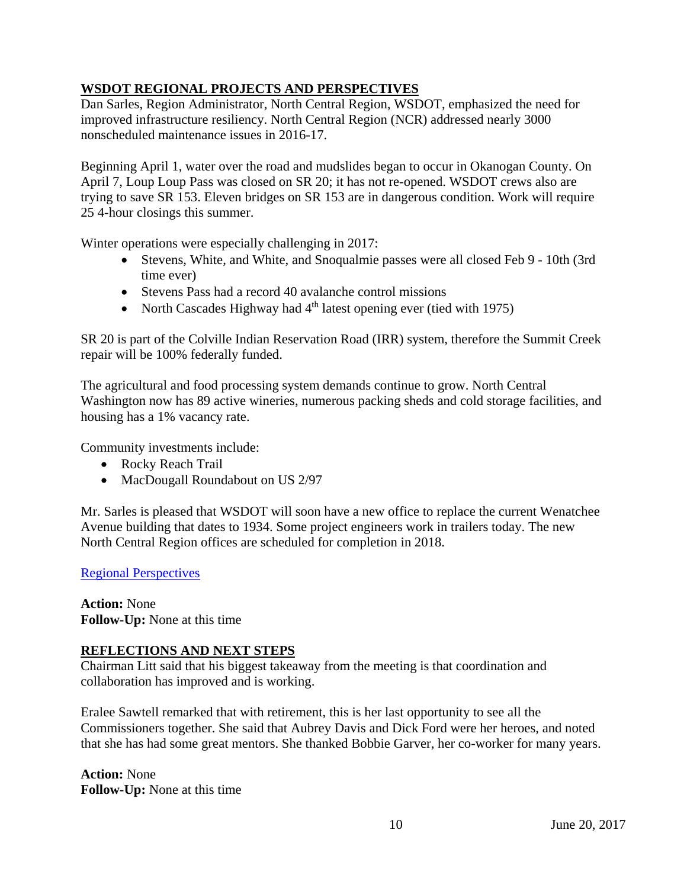# **WSDOT REGIONAL PROJECTS AND PERSPECTIVES**

Dan Sarles, Region Administrator, North Central Region, WSDOT, emphasized the need for improved infrastructure resiliency. North Central Region (NCR) addressed nearly 3000 nonscheduled maintenance issues in 2016-17.

Beginning April 1, water over the road and mudslides began to occur in Okanogan County. On April 7, Loup Loup Pass was closed on SR 20; it has not re-opened. WSDOT crews also are trying to save SR 153. Eleven bridges on SR 153 are in dangerous condition. Work will require 25 4-hour closings this summer.

Winter operations were especially challenging in 2017:

- Stevens, White, and White, and Snoqualmie passes were all closed Feb 9 10th (3rd) time ever)
- Stevens Pass had a record 40 avalanche control missions
- North Cascades Highway had  $4<sup>th</sup>$  latest opening ever (tied with 1975)

SR 20 is part of the Colville Indian Reservation Road (IRR) system, therefore the Summit Creek repair will be 100% federally funded.

The agricultural and food processing system demands continue to grow. North Central Washington now has 89 active wineries, numerous packing sheds and cold storage facilities, and housing has a 1% vacancy rate.

Community investments include:

- Rocky Reach Trail
- MacDougall Roundabout on US 2/97

Mr. Sarles is pleased that WSDOT will soon have a new office to replace the current Wenatchee Avenue building that dates to 1934. Some project engineers work in trailers today. The new North Central Region offices are scheduled for completion in 2018.

# [Regional Perspectives](http://www.wstc.wa.gov/Meetings/AgendasMinutes/agendas/2017/June20/documents/2017_0620_BP11_NCRUpdate.pdf)

**Action:** None **Follow-Up:** None at this time

# **REFLECTIONS AND NEXT STEPS**

Chairman Litt said that his biggest takeaway from the meeting is that coordination and collaboration has improved and is working.

Eralee Sawtell remarked that with retirement, this is her last opportunity to see all the Commissioners together. She said that Aubrey Davis and Dick Ford were her heroes, and noted that she has had some great mentors. She thanked Bobbie Garver, her co-worker for many years.

**Action:** None **Follow-Up:** None at this time